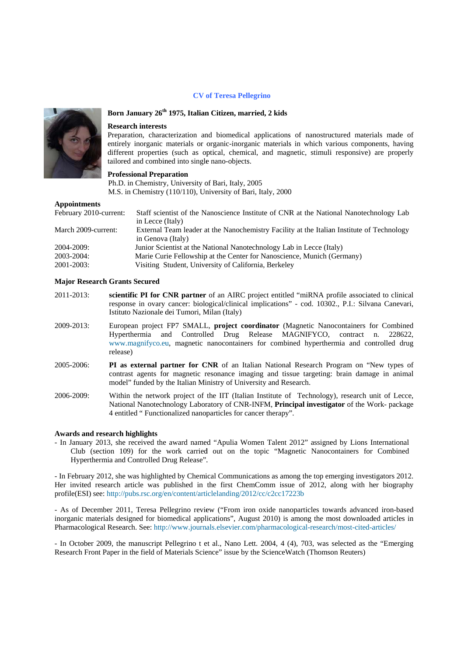#### **CV** of Teresa Pellegrino



# Born January 26<sup>th</sup> 1975, Italian Citizen, married, 2 kids

### **Research interests**

Preparation, characterization and biomedical applications of nanostructured materials made of entirely inorganic materials or organic-inorganic materials in which various components, having different properties (such as optical, chemical, and magnetic, stimuli responsive) are properly tailored and combined into single nano-objects.

## **Professional Preparation**

Ph.D. in Chemistry, University of Bari, Italy, 2005 M.S. in Chemistry (110/110), University of Bari, Italy, 2000

### **Appointments**

| February 2010-current: | Staff scientist of the Nanoscience Institute of CNR at the National Nanotechnology Lab    |
|------------------------|-------------------------------------------------------------------------------------------|
|                        | in Lecce (Italy)                                                                          |
| March 2009-current:    | External Team leader at the Nanochemistry Facility at the Italian Institute of Technology |
|                        | in Genova (Italy)                                                                         |
| 2004-2009:             | Junior Scientist at the National Nanotechnology Lab in Lecce (Italy)                      |
| 2003-2004:             | Marie Curie Fellowship at the Center for Nanoscience, Munich (Germany)                    |
| 2001-2003:             | Visiting Student, University of California, Berkeley                                      |

#### **Major Research Grants Secured**

- 2011-2013: scientific PI for CNR partner of an AIRC project entitled "miRNA profile associated to clinical response in ovary cancer: biological/clinical implications" - cod. 10302., P.I.: Silvana Canevari, Istituto Nazionale dei Tumori, Milan (Italy)
- 2009-2013: European project FP7 SMALL, project coordinator (Magnetic Nanocontainers for Combined Hyperthermia and Controlled Drug Release MAGNIFYCO, contract n. 228622. www.magnifyco.eu, magnetic nanocontainers for combined hyperthermia and controlled drug release)
- 2005-2006: PI as external partner for CNR of an Italian National Research Program on "New types of contrast agents for magnetic resonance imaging and tissue targeting: brain damage in animal model" funded by the Italian Ministry of University and Research.
- Within the network project of the IIT (Italian Institute of Technology), research unit of Lecce, 2006-2009: National Nanotechnology Laboratory of CNR-INFM, Principal investigator of the Work- package 4 entitled "Functionalized nanoparticles for cancer therapy".

### **Awards and research highlights**

- In January 2013, she received the award named "Apulia Women Talent 2012" assigned by Lions International Club (section 109) for the work carried out on the topic "Magnetic Nanocontainers for Combined Hyperthermia and Controlled Drug Release".

- In February 2012, she was highlighted by Chemical Communications as among the top emerging investigators 2012. Her invited research article was published in the first ChemComm issue of 2012, along with her biography profile(ESI) see: http://pubs.rsc.org/en/content/articlelanding/2012/cc/c2cc17223b

- As of December 2011, Teresa Pellegrino review ("From iron oxide nanoparticles towards advanced iron-based inorganic materials designed for biomedical applications", August 2010) is among the most downloaded articles in Pharmacological Research. See: http://www.journals.elsevier.com/pharmacological-research/most-cited-articles/

- In October 2009, the manuscript Pellegrino t et al., Nano Lett. 2004, 4 (4), 703, was selected as the "Emerging Research Front Paper in the field of Materials Science" issue by the Science Watch (Thomson Reuters)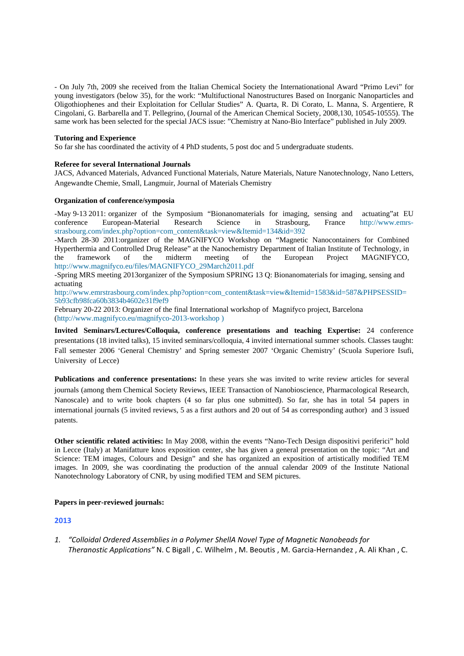- On July 7th, 2009 she received from the Italian Chemical Society the Internationational Award "Primo Levi" for young investigators (below 35), for the work: "Multifuctional Nanostructures Based on Inorganic Nanoparticles and Oligothiophenes and their Exploitation for Cellular Studies" A. Quarta, R. Di Corato, L. Manna, S. Argentiere, R Cingolani, G. Barbarella and T. Pellegrino, (Journal of the American Chemical Society, 2008,130, 10545-10555). The same work has been selected for the special JACS issue: "Chemistry at Nano-Bio Interface" published in July 2009.

### **Tutoring and Experience**

So far she has coordinated the activity of 4 PhD students, 5 post doc and 5 undergraduate students.

#### **Referee for several International Journals**

JACS, Advanced Materials, Advanced Functional Materials, Nature Materials, Nature Nanotechnology, Nano Letters, Angewandte Chemie, Small, Langmuir, Journal of Materials Chemistry

### **Organization of conference/symposia**

-May 9-13 2011: organizer of the Symposium "Bionanomaterials for imaging, sensing and actuating"at EU conference European-Material Research Science in Strasbourg, France http://www.emrsstrasbourg.com/index.php?option=com\_content&task=view&Itemid=134&id=392

-March 28-30 2011:organizer of the MAGNIFYCO Workshop on "Magnetic Nanocontainers for Combined Hyperthermia and Controlled Drug Release" at the Nanochemistry Department of Italian Institute of Technology, in the framework of the midterm meeting of the European Project MAGNIFYCO, http://www.magnifyco.eu/files/MAGNIFYCO\_29March2011.pdf

-Spring MRS meeting 2013organizer of the Symposium SPRING 13 Q: Bionanomaterials for imaging, sensing and actuating

http://www.emrstrasbourg.com/index.php?option=com\_content&task=view&Itemid=1583&id=587&PHPSESSID= 5b93cfb98fca60b3834b4602e31f9ef9

February 20-22 2013: Organizer of the final International workshop of Magnifyco project, Barcelona (http://www.magnifyco.eu/magnifyco-2013-workshop )

**Invited Seminars/Lectures/Colloquia, conference presentations and teaching Expertise:** 24 conference presentations (18 invited talks), 15 invited seminars/colloquia, 4 invited international summer schools. Classes taught: Fall semester 2006 'General Chemistry' and Spring semester 2007 'Organic Chemistry' (Scuola Superiore Isufi, University of Lecce)

**Publications and conference presentations:** In these years she was invited to write review articles for several journals (among them Chemical Society Reviews, IEEE Transaction of Nanobioscience, Pharmacological Research, Nanoscale) and to write book chapters (4 so far plus one submitted). So far, she has in total 54 papers in international journals (5 invited reviews, 5 as a first authors and 20 out of 54 as corresponding author) and 3 issued patents.

**Other scientific related activities:** In May 2008, within the events "Nano-Tech Design dispositivi periferici" hold in Lecce (Italy) at Manifatture knos exposition center, she has given a general presentation on the topic: "Art and Science: TEM images, Colours and Design" and she has organized an exposition of artistically modified TEM images. In 2009, she was coordinating the production of the annual calendar 2009 of the Institute National Nanotechnology Laboratory of CNR, by using modified TEM and SEM pictures.

### **Papers in peer-reviewed journals:**

### **2013**

*1. "Colloidal Ordered Assemblies in a Polymer ShellA Novel Type of Magnetic Nanobeads for Theranostic Applications"* N. C Bigall , C. Wilhelm , M. Beoutis , M. Garcia‐Hernandez , A. Ali Khan , C.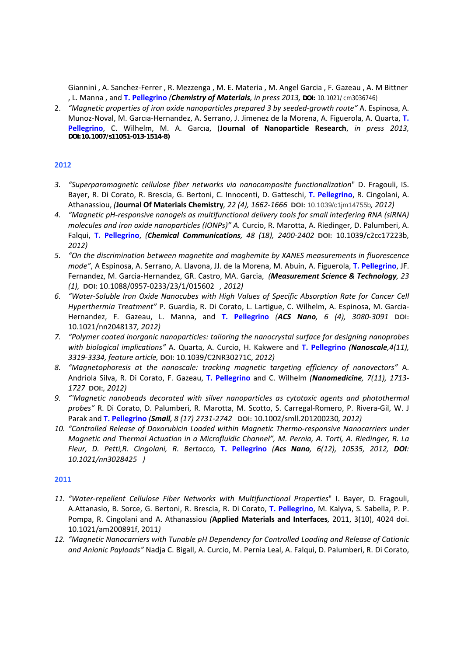Giannini , A. Sanchez‐Ferrer , R. Mezzenga , M. E. Materia , M. Angel Garcia , F. Gazeau , A. M Bittner , L. Manna , and **T. Pellegrino** *(Chemistry of Materials, in press 2013,* **DOI:** 10.1021/cm3036746)

2. *"Magnetic properties of iron oxide nanoparticles prepared 3 by seeded‐growth route"* A. Espinosa, A. Munoz‐Noval, M. Garcıa‐Hernandez, A. Serrano, J. Jimenez de la Morena, A. Figuerola, A. Quarta, **T. Pellegrino**, C. Wilhelm, M. A. Garcıa, (**Journal of Nanoparticle Research**, *in press 2013,* **DOI:10.1007/s11051-013-1514-8)**

## **2012**

- *3. "Superparamagnetic cellulose fiber networks via nanocomposite functionalization*" D. Fragouli, IS. Bayer, R. Di Corato, R. Brescia, G. Bertoni, C. Innocenti, D. Gatteschi, **T. Pellegrino**, R. Cingolani, A. Athanassiou, *(***Journal Of Materials Chemistry***, 22 (4), 1662‐1666* **DOI:** 10.1039/c1jm14755b*, 2012)*
- *4. "Magnetic pH‐responsive nanogels as multifunctional delivery tools for small interfering RNA (siRNA) molecules and iron oxide nanoparticles (IONPs)" A.* Curcio, R. Marotta, A. Riedinger, D. Palumberi, A. Falqui, **T. Pellegrino**, *(Chemical Communications, 48 (18), 2400‐2402* **DOI:** 10.1039/c2cc17223b*, 2012)*
- *5. "On the discrimination between magnetite and maghemite by XANES measurements in fluorescence mode"*, A Espinosa, A. Serrano, A. Llavona, JJ. de la Morena, M. Abuin, A. Figuerola, **T. Pellegrino**, JF. Fernandez, M. Garcia‐Hernandez, GR. Castro, MA. Garcia, *(Measurement Science & Technology, 23 (1),* **DOI:** 10.1088/0957‐0233/23/1/015602 *, 2012)*
- *6. "Water‐Soluble Iron Oxide Nanocubes with High Values of Specific Absorption Rate for Cancer Cell Hyperthermia Treatment"* P. Guardia, R. Di Corato, L. Lartigue, C. Wilhelm, A. Espinosa, M. Garcia‐ Hernandez, F. Gazeau, L. Manna, and **T. Pellegrino** *(ACS Nano, 6 (4), 3080‐3091* **DOI:** 10.1021/nn2048137*, 2012)*
- *7. "Polymer coated inorganic nanoparticles: tailoring the nanocrystal surface for designing nanoprobes with biological implications"* A. Quarta, A. Curcio, H. Kakwere and **T. Pellegrino** *(Nanoscale,4(11), 3319‐3334, feature article,* **DOI:** 10.1039/C2NR30271C*, 2012)*
- *8. "Magnetophoresis at the nanoscale: tracking magnetic targeting efficiency of nanovectors"* A. Andriola Silva, R. Di Corato, F. Gazeau, **T. Pellegrino** and C. Wilhelm *(Nanomedicine, 7(11), 1713‐ 1727* **DOI:***, 2012)*
- *9. "'Magnetic nanobeads decorated with silver nanoparticles as cytotoxic agents and photothermal probes"* R. Di Corato, D. Palumberi, R. Marotta, M. Scotto, S. Carregal‐Romero, P. Rivera‐Gil, W. J Parak and **T. Pellegrino** *(Small, 8 (17) 2731‐2742* **DOI:** 10.1002/smll.201200230*, 2012)*
- *10. "Controlled Release of Doxorubicin Loaded within Magnetic Thermo‐responsive Nanocarriers under Magnetic and Thermal Actuation in a Microfluidic Channel", M. Pernia, A. Torti, A. Riedinger, R. La Fleur, D. Petti,R. Cingolani, R. Bertacco,* **T. Pellegrino** *(Acs Nano, 6(12), 10535, 2012, DOI: 10.1021/nn3028425 )*

- *11. "Water‐repellent Cellulose Fiber Networks with Multifunctional Properties*" I. Bayer, D. Fragouli, A.Attanasio, B. Sorce, G. Bertoni, R. Brescia, R. Di Corato, **T. Pellegrino**, M. Kalyva, S. Sabella, P. P. Pompa, R. Cingolani and A. Athanassiou *(***Applied Materials and Interfaces***,* 2011, 3(10), 4024 doi. 10.1021/am200891f, 2011*)*
- *12. "Magnetic Nanocarriers with Tunable pH Dependency for Controlled Loading and Release of Cationic and Anionic Payloads"* Nadja C. Bigall, A. Curcio, M. Pernia Leal, A. Falqui, D. Palumberi, R. Di Corato,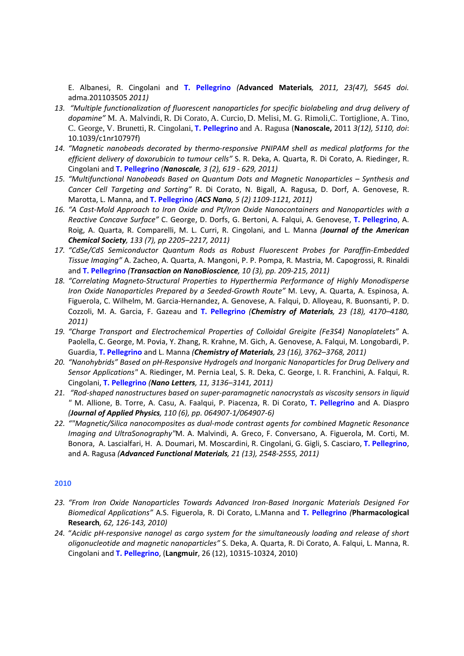E. Albanesi, R. Cingolani and **T. Pellegrino** *(***Advanced Materials***, 2011, 23(47), 5645 doi.* adma.201103505 *2011)*

- *13. "Multiple functionalization of fluorescent nanoparticles for specific biolabeling and drug delivery of dopamine"* M. A. Malvindi, R. Di Corato, A. Curcio, D. Melisi, M. G. Rimoli,C. Tortiglione, A. Tino, C. George, V. Brunetti, R. Cingolani, **T. Pellegrino** and A. Ragusa (**Nanoscale,** 2011 *3(12), 5110, doi*: 10.1039/c1nr10797f)
- *14. "Magnetic nanobeads decorated by thermo‐responsive PNIPAM shell as medical platforms for the efficient delivery of doxorubicin to tumour cells"* S. R. Deka, A. Quarta, R. Di Corato, A. Riedinger, R. Cingolani and **T. Pellegrino** *(Nanoscale, 3 (2), 619 ‐ 629, 2011)*
- *15. "Multifunctional Nanobeads Based on Quantum Dots and Magnetic Nanoparticles – Synthesis and Cancer Cell Targeting and Sorting"* R. Di Corato, N. Bigall, A. Ragusa, D. Dorf, A. Genovese, R. Marotta, L. Manna, and **T. Pellegrino** *(ACS Nano, 5 (2) 1109‐1121, 2011)*
- *16. "A Cast‐Mold Approach to Iron Oxide and Pt/Iron Oxide Nanocontainers and Nanoparticles with a Reactive Concave Surface"* C. George, D. Dorfs, G. Bertoni, A. Falqui, A. Genovese, **T. Pellegrino**, A. Roig, A. Quarta, R. Comparelli, M. L. Curri, R. Cingolani, and L. Manna *(Journal of the American Chemical Society, 133 (7), pp 2205–2217, 2011)*
- *17. "CdSe/CdS Semiconductor Quantum Rods as Robust Fluorescent Probes for Paraffin‐Embedded Tissue Imaging"* A. Zacheo, A. Quarta, A. Mangoni, P. P. Pompa, R. Mastria, M. Capogrossi, R. Rinaldi and **T. Pellegrino** *(Transaction on NanoBioscience, 10 (3), pp. 209‐215, 2011)*
- *18. "Correlating Magneto‐Structural Properties to Hyperthermia Performance of Highly Monodisperse Iron Oxide Nanoparticles Prepared by a Seeded‐Growth Route"* M. Levy, A. Quarta, A. Espinosa, A. Figuerola, C. Wilhelm, M. Garcia‐Hernandez, A. Genovese, A. Falqui, D. Alloyeau, R. Buonsanti, P. D. Cozzoli, M. A. Garcia, F. Gazeau and **T. Pellegrino** *(Chemistry of Materials, 23 (18), 4170–4180, 2011)*
- *19. "Charge Transport and Electrochemical Properties of Colloidal Greigite (Fe3S4) Nanoplatelets"* A. Paolella, C. George, M. Povia, Y. Zhang, R. Krahne, M. Gich, A. Genovese, A. Falqui, M. Longobardi, P. Guardia, **T. Pellegrino** and L. Manna *(Chemistry of Materials, 23 (16), 3762–3768, 2011)*
- *20. "Nanohybrids" Based on pH‐Responsive Hydrogels and Inorganic Nanoparticles for Drug Delivery and Sensor Applications"* A. Riedinger, M. Pernia Leal, S. R. Deka, C. George, I. R. Franchini, A. Falqui, R. Cingolani, **T. Pellegrino** *(Nano Letters, 11, 3136–3141, 2011)*
- *21. "Rod‐shaped nanostructures based on super‐paramagnetic nanocrystals as viscosity sensors in liquid "* M. Allione, B. Torre, A. Casu, A. Faalqui, P. Piacenza, R. Di Corato, **T. Pellegrino** and A. Diaspro *(Journal of Applied Physics, 110 (6), pp. 064907‐1/064907‐6)*
- *22. ""Magnetic/Silica nanocomposites as dual‐mode contrast agents for combined Magnetic Resonance Imaging and UltraSonography"*M. A. Malvindi, A. Greco, F. Conversano, A. Figuerola, M. Corti, M. Bonora, A. Lascialfari, H. A. Doumari, M. Moscardini, R. Cingolani, G. Gigli, S. Casciaro, **T. Pellegrino**, and A. Ragusa *(Advanced Functional Materials, 21 (13), 2548‐2555, 2011)*

- *23. "From Iron Oxide Nanoparticles Towards Advanced Iron‐Based Inorganic Materials Designed For Biomedical Applications"* A.S. Figuerola, R. Di Corato, L.Manna and **T. Pellegrino** *(***Pharmacological Research***, 62, 126‐143, 2010)*
- *24.* "*Acidic pH‐responsive nanogel as cargo system for the simultaneously loading and release of short oligonucleotide and magnetic nanoparticles"* S. Deka, A. Quarta, R. Di Corato, A. Falqui, L. Manna, R. Cingolani and **T. Pellegrino**, (**Langmuir**, 26 (12), 10315‐10324, 2010)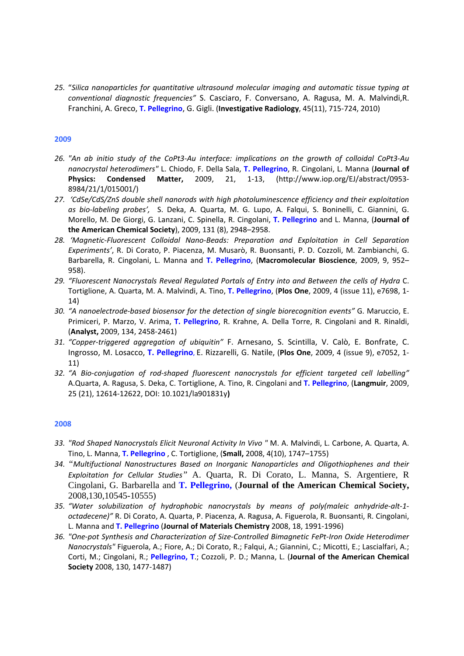*25.* "*Silica nanoparticles for quantitative ultrasound molecular imaging and automatic tissue typing at conventional diagnostic frequencies"* S. Casciaro, F. Conversano, A. Ragusa, M. A. Malvindi,R. Franchini, A. Greco, **T. Pellegrino**, G. Gigli. (**Investigative Radiology**, 45(11), 715‐724, 2010)

## **2009**

- 26. "An ab initio study of the CoPt3-Au interface: implications on the growth of colloidal CoPt3-Au *nanocrystal heterodimers"* L. Chiodo, F. Della Sala, **T. Pellegrino**, R. Cingolani, L. Manna (**Journal of Physics: Condensed Matter,** 2009, 21, 1‐13, (http://www.iop.org/EJ/abstract/0953‐ 8984/21/1/015001/)
- *27. 'CdSe/CdS/ZnS double shell nanorods with high photoluminescence efficiency and their exploitation as bio‐labeling probes',*  S. Deka, A. Quarta, M. G. Lupo, A. Falqui, S. Boninelli, C. Giannini, G. Morello, M. De Giorgi, G. Lanzani, C. Spinella, R. Cingolani, **T. Pellegrino** and L. Manna, (**Journal of the American Chemical Society**), 2009, 131 (8), 2948–2958.
- *28. 'Magnetic‐Fluorescent Colloidal Nano‐Beads: Preparation and Exploitation in Cell Separation Experiments'*, R. Di Corato, P. Piacenza, M. Musarò, R. Buonsanti, P. D. Cozzoli, M. Zambianchi, G. Barbarella, R. Cingolani, L. Manna and **T. Pellegrino**, (**Macromolecular Bioscience**, 2009, 9, 952– 958).
- *29. "Fluorescent Nanocrystals Reveal Regulated Portals of Entry into and Between the cells of Hydra* C. Tortiglione, A. Quarta, M. A. Malvindi, A. Tino, **T. Pellegrino**, (**Plos One**, 2009, 4 (issue 11), e7698, 1‐ 14)
- *30. "A nanoelectrode‐based biosensor for the detection of single biorecognition events"* G. Maruccio, E. Primiceri, P. Marzo, V. Arima, **T. Pellegrino**, R. Krahne, A. Della Torre, R. Cingolani and R. Rinaldi, (**Analyst,** 2009, 134, 2458‐2461)
- *31. "Copper‐triggered aggregation of ubiquitin"* F. Arnesano, S. Scintilla, V. Calò, E. Bonfrate, C. Ingrosso, M. Losacco, **T. Pellegrino,** E. Rizzarelli, G. Natile, (**Plos One**, 2009, 4 (issue 9), e7052, 1‐ 11)
- *32. "A Bio‐conjugation of rod‐shaped fluorescent nanocrystals for efficient targeted cell labelling"* A.Quarta, A. Ragusa, S. Deka, C. Tortiglione, A. Tino, R. Cingolani and **T. Pellegrino**, (**Langmuir**, 2009, 25 (21), 12614‐12622, DOI: 10.1021/la901831y**)**

- *33. "Rod Shaped Nanocrystals Elicit Neuronal Activity In Vivo "* M. A. Malvindi, L. Carbone, A. Quarta, A. Tino, L. Manna, **T. Pellegrino** , C. Tortiglione, (**Small,** 2008, 4(10), 1747–1755)
- *34. "Multifuctional Nanostructures Based on Inorganic Nanoparticles and Oligothiophenes and their Exploitation for Cellular Studies"* A. Quarta, R. Di Corato, L. Manna, S. Argentiere, R Cingolani, G. Barbarella and **T. Pellegrino,** (**Journal of the American Chemical Society,** 2008,130,10545-10555)
- *35. "Water solubilization of hydrophobic nanocrystals by means of poly(maleic anhydride‐alt‐1‐ octadecene)"* R. Di Corato, A. Quarta, P. Piacenza, A. Ragusa, A. Figuerola, R. Buonsanti, R. Cingolani, L. Manna and **T. Pellegrino** (**Journal of Materials Chemistry** 2008, 18, 1991‐1996)
- *36. "One‐pot Synthesis and Characterization of Size‐Controlled Bimagnetic FePt‐Iron Oxide Heterodimer Nanocrystals"* Figuerola, A.; Fiore, A.; Di Corato, R.; Falqui, A.; Giannini, C.; Micotti, E.; Lascialfari, A.; Corti, M.; Cingolani, R.; **Pellegrino, T**.; Cozzoli, P. D.; Manna, L. (**Journal of the American Chemical Society** 2008, 130, 1477‐1487)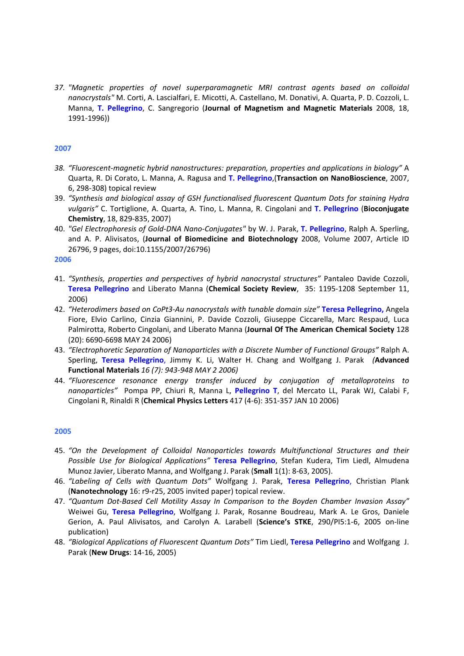*37. "Magnetic properties of novel superparamagnetic MRI contrast agents based on colloidal nanocrystals"* M. Corti, A. Lascialfari, E. Micotti, A. Castellano, M. Donativi, A. Quarta, P. D. Cozzoli, L. Manna, **T. Pellegrino**, C. Sangregorio (**Journal of Magnetism and Magnetic Materials** 2008, 18, 1991‐1996))

## **2007**

- *38. "Fluorescent‐magnetic hybrid nanostructures: preparation, properties and applications in biology"* A Quarta, R. Di Corato, L. Manna, A. Ragusa and **T. Pellegrino**,(**Transaction on NanoBioscience**, 2007, 6, 298‐308) topical review
- 39. *"Synthesis and biological assay of GSH functionalised fluorescent Quantum Dots for staining Hydra vulgaris"* C. Tortiglione, A. Quarta, A. Tino, L. Manna, R. Cingolani and **T. Pellegrino** (**Bioconjugate Chemistry**, 18, 829‐835, 2007)
- 40. *"Gel Electrophoresis of Gold‐DNA Nano‐Conjugates"* by W. J. Parak, **T. Pellegrino**, Ralph A. Sperling, and A. P. Alivisatos, (**Journal of Biomedicine and Biotechnology** 2008, Volume 2007, Article ID 26796, 9 pages, doi:10.1155/2007/26796)

### **2006**

- 41. *"Synthesis, properties and perspectives of hybrid nanocrystal structures"* Pantaleo Davide Cozzoli, **Teresa Pellegrino** and Liberato Manna (**Chemical Society Review**, 35: 1195‐1208 September 11, 2006)
- 42. *"Heterodimers based on CoPt3‐Au nanocrystals with tunable domain size"* **Teresa Pellegrino,** Angela Fiore, Elvio Carlino, Cinzia Giannini, P. Davide Cozzoli, Giuseppe Ciccarella, Marc Respaud, Luca Palmirotta, Roberto Cingolani, and Liberato Manna (**Journal Of The American Chemical Society** 128 (20): 6690‐6698 MAY 24 2006)
- 43. *"Electrophoretic Separation of Nanoparticles with a Discrete Number of Functional Groups"* Ralph A. Sperling, **Teresa Pellegrino**, Jimmy K. Li, Walter H. Chang and Wolfgang J. Parak *(***Advanced Functional Materials** *16 (7): 943‐948 MAY 2 2006)*
- 44. *"Fluorescence resonance energy transfer induced by conjugation of metalloproteins to nanoparticles"* Pompa PP, Chiuri R, Manna L, **Pellegrino T**, del Mercato LL, Parak WJ, Calabi F, Cingolani R, Rinaldi R (**Chemical Physics Letters** 417 (4‐6): 351‐357 JAN 10 2006)

- 45. *"On the Development of Colloidal Nanoparticles towards Multifunctional Structures and their Possible Use for Biological Applications"* **Teresa Pellegrino**, Stefan Kudera, Tim Liedl, Almudena Munoz Javier, Liberato Manna, and Wolfgang J. Parak (**Small** 1(1): 8‐63, 2005).
- 46. *"Labeling of Cells with Quantum Dots"* Wolfgang J. Parak, **Teresa Pellegrino**, Christian Plank (**Nanotechnology** 16: r9‐r25, 2005 invited paper) topical review.
- 47. *"Quantum Dot‐Based Cell Motility Assay In Comparison to the Boyden Chamber Invasion Assay"* Weiwei Gu, **Teresa Pellegrino**, Wolfgang J. Parak, Rosanne Boudreau, Mark A. Le Gros, Daniele Gerion, A. Paul Alivisatos, and Carolyn A. Larabell (**Science's STKE**, 290/PI5:1‐6, 2005 on‐line publication)
- 48. *"Biological Applications of Fluorescent Quantum Dots"* Tim Liedl, **Teresa Pellegrino** and Wolfgang J. Parak (**New Drugs**: 14‐16, 2005)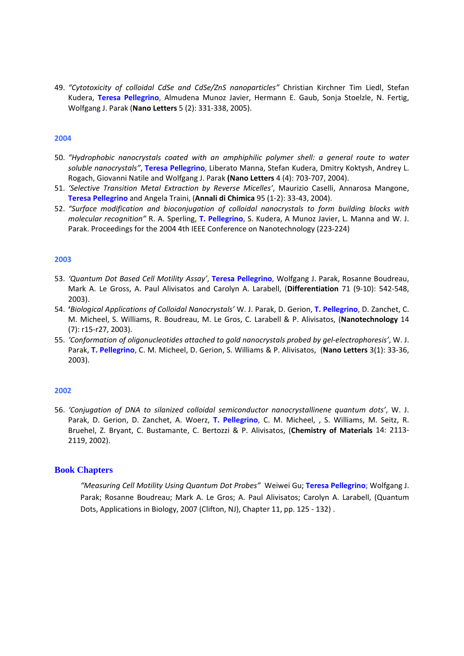49. *"Cytotoxicity of colloidal CdSe and CdSe/ZnS nanoparticles"* Christian Kirchner Tim Liedl, Stefan Kudera, **Teresa Pellegrino**, Almudena Munoz Javier, Hermann E. Gaub, Sonja Stoelzle, N. Fertig, Wolfgang J. Parak (**Nano Letters** 5 (2): 331‐338, 2005).

## **2004**

- 50. *"Hydrophobic nanocrystals coated with an amphiphilic polymer shell: a general route to water soluble nanocrystals"*, **Teresa Pellegrino**, Liberato Manna, Stefan Kudera, Dmitry Koktysh, Andrey L. Rogach, Giovanni Natile and Wolfgang J. Parak **(Nano Letters** 4 (4): 703‐707, 2004).
- 51. *'Selective Transition Metal Extraction by Reverse Micelles'*, Maurizio Caselli, Annarosa Mangone, **Teresa Pellegrino** and Angela Traini, (**Annali di Chimica** 95 (1‐2): 33‐43, 2004).
- 52. *"Surface modification and bioconjugation of colloidal nanocrystals to form building blocks with molecular recognition"* R. A. Sperling, **T. Pellegrino**, S. Kudera, A Munoz Javier, L. Manna and W. J. Parak. Proceedings for the 2004 4th IEEE Conference on Nanotechnology (223‐224)

## **2003**

- 53. *'Quantum Dot Based Cell Motility Assay'*, **Teresa Pellegrino**, Wolfgang J. Parak, Rosanne Boudreau, Mark A. Le Gross, A. Paul Alivisatos and Carolyn A. Larabell, (**Differentiation** 71 (9‐10): 542‐548, 2003).
- 54. **'***Biological Applications of Colloidal Nanocrystals'* W. J. Parak, D. Gerion, **T. Pellegrino**, D. Zanchet, C. M. Micheel, S. Williams, R. Boudreau, M. Le Gros, C. Larabell & P. Alivisatos, (**Nanotechnology** 14 (7): r15‐r27, 2003).
- 55. *'Conformation of oligonucleotides attached to gold nanocrystals probed by gel‐electrophoresis'*, W. J. Parak, **T. Pellegrino**, C. M. Micheel, D. Gerion, S. Williams & P. Alivisatos, (**Nano Letters** 3(1): 33‐36, 2003).

## **2002**

56. *'Conjugation of DNA to silanized colloidal semiconductor nanocrystallinene quantum dots'*, W. J. Parak, D. Gerion, D. Zanchet, A. Woerz, **T. Pellegrino**, C. M. Micheel, , S. Williams, M. Seitz, R. Bruehel, Z. Bryant, C. Bustamante, C. Bertozzi & P. Alivisatos, (**Chemistry of Materials** 14: 2113‐ 2119, 2002).

## **Book Chapters**

*"Measuring Cell Motility Using Quantum Dot Probes"* Weiwei Gu; **Teresa Pellegrino**; Wolfgang J. Parak; Rosanne Boudreau; Mark A. Le Gros; A. Paul Alivisatos; Carolyn A. Larabell, (Quantum Dots, Applications in Biology, 2007 (Clifton, NJ), Chapter 11, pp. 125 ‐ 132) .